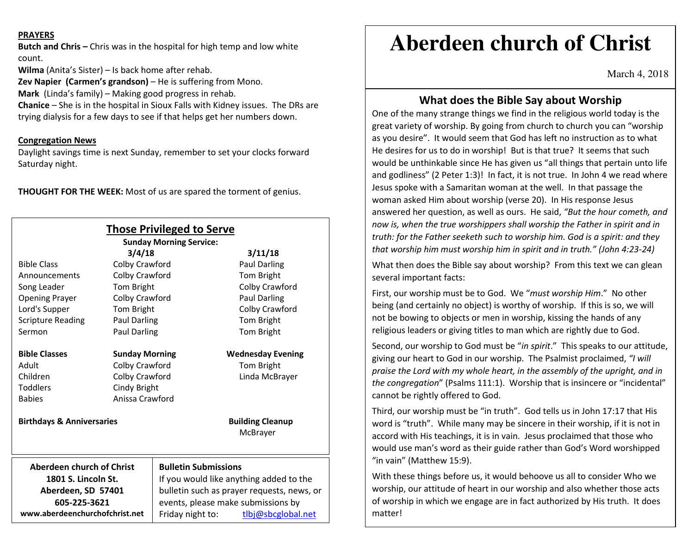#### **PRAYERS**

**Butch and Chris –** Chris was in the hospital for high temp and low white count.

**Wilma** (Anita's Sister) – Is back home after rehab.

**Zev Napier (Carmen's grandson)** – He is suffering from Mono.

**Mark** (Linda's family) – Making good progress in rehab.

 **Chanice** – She is in the hospital in Sioux Falls with Kidney issues. The DRs are trying dialysis for a few days to see if that helps get her numbers down.

### **Congregation News**

 Daylight savings time is next Sunday, remember to set your clocks forward Saturday night.

**THOUGHT FOR THE WEEK:** Most of us are spared the torment of genius.

|                                                                                             |                       | <b>Those Privileged to Serve</b><br><b>Sunday Morning Service:</b>                                                                                                    |                                     |
|---------------------------------------------------------------------------------------------|-----------------------|-----------------------------------------------------------------------------------------------------------------------------------------------------------------------|-------------------------------------|
|                                                                                             | 3/4/18                |                                                                                                                                                                       | 3/11/18                             |
| <b>Bible Class</b>                                                                          | Colby Crawford        |                                                                                                                                                                       | <b>Paul Darling</b>                 |
| Announcements                                                                               | Colby Crawford        |                                                                                                                                                                       | Tom Bright                          |
| Song Leader                                                                                 | Tom Bright            |                                                                                                                                                                       | Colby Crawford                      |
| <b>Opening Prayer</b>                                                                       | Colby Crawford        |                                                                                                                                                                       | <b>Paul Darling</b>                 |
| Lord's Supper                                                                               | Tom Bright            |                                                                                                                                                                       | Colby Crawford                      |
| <b>Scripture Reading</b>                                                                    | <b>Paul Darling</b>   |                                                                                                                                                                       | Tom Bright                          |
| Sermon                                                                                      | Paul Darling          |                                                                                                                                                                       | Tom Bright                          |
|                                                                                             |                       |                                                                                                                                                                       |                                     |
| <b>Bible Classes</b>                                                                        | <b>Sunday Morning</b> |                                                                                                                                                                       | <b>Wednesday Evening</b>            |
| Adult                                                                                       | Colby Crawford        |                                                                                                                                                                       | Tom Bright                          |
| Children                                                                                    | Colby Crawford        |                                                                                                                                                                       | Linda McBrayer                      |
| Toddlers                                                                                    | Cindy Bright          |                                                                                                                                                                       |                                     |
| <b>Babies</b>                                                                               | Anissa Crawford       |                                                                                                                                                                       |                                     |
| <b>Birthdays &amp; Anniversaries</b>                                                        |                       |                                                                                                                                                                       | <b>Building Cleanup</b><br>McBrayer |
| <b>Aberdeen church of Christ</b>                                                            |                       | <b>Bulletin Submissions</b>                                                                                                                                           |                                     |
| 1801 S. Lincoln St.<br>Aberdeen, SD 57401<br>605-225-3621<br>www.aberdeenchurchofchrist.net |                       | If you would like anything added to the<br>bulletin such as prayer requests, news, or<br>events, please make submissions by<br>Friday night to:<br>tlbj@sbcglobal.net |                                     |

# **Aberdeen church of Christ**

March 4, 2018

## **What does the Bible Say about Worship**

One of the many strange things we find in the religious world today is the great variety of worship. By going from church to church you can "worship as you desire". It would seem that God has left no instruction as to what He desires for us to do in worship! But is that true? It seems that such would be unthinkable since He has given us "all things that pertain unto life and godliness" (2 Peter 1:3)! In fact, it is not true. In John 4 we read where Jesus spoke with a Samaritan woman at the well. In that passage the woman asked Him about worship (verse 20). In His response Jesus answered her question, as well as ours. He said, *"But the hour cometh, and now is, when the true worshippers shall worship the Father in spirit and in truth: for the Father seeketh such to worship him. God is a spirit: and they that worship him must worship him in spirit and in truth." (John 4:23-24)* 

What then does the Bible say about worship? From this text we can glean several important facts:

First, our worship must be to God. We "*must worship Him*." No other being (and certainly no object) is worthy of worship. If this is so, we will not be bowing to objects or men in worship, kissing the hands of any religious leaders or giving titles to man which are rightly due to God.

Second, our worship to God must be "*in spirit*." This speaks to our attitude, giving our heart to God in our worship. The Psalmist proclaimed, *"I will praise the Lord with my whole heart, in the assembly of the upright, and in the congregation*" (Psalms 111:1). Worship that is insincere or "incidental" cannot be rightly offered to God.

Third, our worship must be "in truth". God tells us in John 17:17 that His word is "truth". While many may be sincere in their worship, if it is not in accord with His teachings, it is in vain. Jesus proclaimed that those who would use man's word as their guide rather than God's Word worshipped "in vain" (Matthew 15:9).

With these things before us, it would behoove us all to consider Who we worship, our attitude of heart in our worship and also whether those acts of worship in which we engage are in fact authorized by His truth. It does matter!